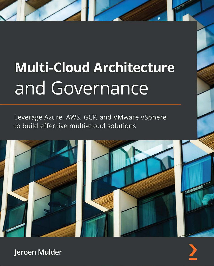# **Multi-Cloud Architecture** and Governance

Leverage Azure, AWS, GCP, and VMware vSphere to build effective multi-cloud solutions



![](_page_0_Picture_3.jpeg)

Jeroen Mulder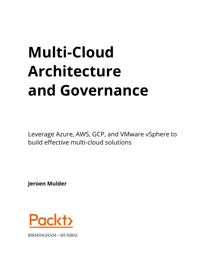# **Multi-Cloud Architecture and Governance**

Leverage Azure, AWS, GCP, and VMware vSphere to build effective multi-cloud solutions

**Jeroen Mulder**

![](_page_1_Picture_3.jpeg)

BIRMINGHAM—MUMBAI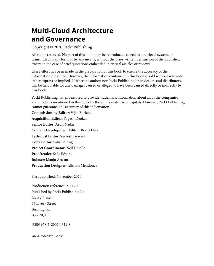# **Multi-Cloud Architecture and Governance**

Copyright © 2020 Packt Publishing

All rights reserved. No part of this book may be reproduced, stored in a retrieval system, or transmitted in any form or by any means, without the prior written permission of the publisher, except in the case of brief quotations embedded in critical articles or reviews.

Every effort has been made in the preparation of this book to ensure the accuracy of the information presented. However, the information contained in this book is sold without warranty, either express or implied. Neither the author, nor Packt Publishing or its dealers and distributors, will be held liable for any damages caused or alleged to have been caused directly or indirectly by this book.

Packt Publishing has endeavored to provide trademark information about all of the companies and products mentioned in this book by the appropriate use of capitals. However, Packt Publishing cannot guarantee the accuracy of this information.

**Commissioning Editor**: Vijin Boricha **Acquisition Editor**: Yogesh Deokar **Senior Editor**: Arun Nadar **Content Development Editor**: Romy Dias **Technical Editor**: Sarvesh Jaywant **Copy Editor**: Safis Editing **Project Coordinator**: Neil Dmello **Proofreader**: Safis Editing **Indexer**: Manju Arasan **Production Designer**: Alishon Mendonca

First published: November 2020

Production reference: 2111220 Published by Packt Publishing Ltd. Livery Place 35 Livery Street Birmingham B3 2PB, UK.

ISBN 978-1-80020-319-8

[www.packt.com](http://www.packt.com)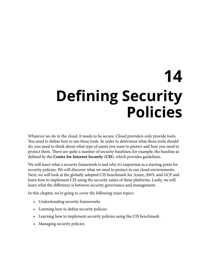# **14 Defining Security Policies**

Whatever we do in the cloud, it needs to be secure. Cloud providers only provide tools. You need to define how to use these tools. In order to determine what these tools should do, you need to think about what type of assets you want to protect and how you need to protect them. There are quite a number of security baselines; for example, the baseline as defined by the **Center for Internet Security** (**CIS**), which provides guidelines.

We will learn what a security framework is and why it's important as a starting point for security policies. We will discover what we need to protect in our cloud environments. Next, we will look at the globally adopted CIS benchmark for Azure, AWS, and GCP and learn how to implement CIS using the security suites of these platforms. Lastly, we will learn what the difference is between security governance and management.

In this chapter, we're going to cover the following main topics:

- Understanding security frameworks
- Learning how to define security policies
- Learning how to implement security policies using the CIS benchmark
- Managing security policies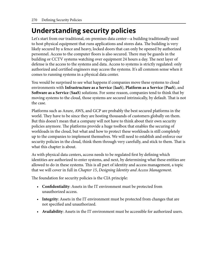# **Understanding security policies**

Let's start from our traditional, on-premises data center—a building traditionally used to host physical equipment that runs applications and stores data. The building is very likely secured by a fence and heavy, locked doors that can only be opened by authorized personnel. Access to the computer floors is also secured. There may be guards in the building or CCTV systems watching over equipment 24 hours a day. The next layer of defense is the access to the systems and data. Access to systems is strictly regulated: only authorized and certified engineers may access the systems. It's all common sense when it comes to running systems in a physical data center.

You would be surprised to see what happens if companies move these systems to cloud environments with **Infrastructure as a Service** (**IaaS**), **Platform as a Service** (**PaaS**), and **Software as a Service** (**SaaS**) solutions. For some reason, companies tend to think that by moving systems to the cloud, those systems are secured intrinsically, by default. That is not the case.

Platforms such as Azure, AWS, and GCP are probably the best secured platforms in the world. They have to be since they are hosting thousands of customers globally on them. But this doesn't mean that a company will not have to think about their own security policies anymore. The platforms provide a huge toolbox that enables the securing of workloads in the cloud, but what and how to protect these workloads is still completely up to the companies to implement themselves. We will need to establish and enforce our security policies in the cloud, think them through very carefully, and stick to them. That is what this chapter is about.

As with physical data centers, access needs to be regulated first by defining which identities are authorized to enter systems, and next, by determining what these entities are allowed to do in these systems. This is all part of identity and access management, a topic that we will cover in full in *Chapter 15*, *Designing Identity and Access Management*.

The foundation for security policies is the CIA principle:

- **Confidentiality**: Assets in the IT environment must be protected from unauthorized access.
- **Integrity**: Assets in the IT environment must be protected from changes that are not specified and unauthorized.
- **Availability**: Assets in the IT environment must be accessible for authorized users.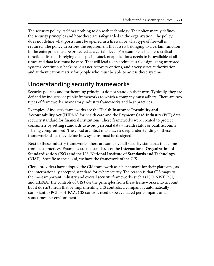The security policy itself has nothing to do with technology. The policy merely defines the security principles and how these are safeguarded in the organization. The policy does not define what ports must be opened in a firewall or what type of firewall is required. The policy describes the requirement that assets belonging to a certain function in the enterprise must be protected at a certain level. For example, a business-critical functionality that is relying on a specific stack of applications needs to be available at all times and data loss must be zero. That will lead to an architectural design using mirrored systems, continuous backups, disaster recovery options, and a very strict authorization and authentication matrix for people who must be able to access these systems.

### **Understanding security frameworks**

Security policies and forthcoming principles do not stand on their own. Typically, they are defined by industry or public frameworks to which a company must adhere. There are two types of frameworks: mandatory industry frameworks and best practices.

Examples of industry frameworks are the **Health Insurance Portability and Accountability Act** (**HIPAA**) for health care and the **Payment Card Industry** (**PCI**) data security standard for financial institutions. These frameworks were created to protect consumers by setting standards to avoid personal data – health status or bank accounts – being compromised. The cloud architect must have a deep understanding of these frameworks since they define how systems must be designed.

Next to these industry frameworks, there are some overall security standards that come from best practices. Examples are the standards of the **International Organization of Standardization** (**ISO**) and the U.S. **National Institute of Standards and Technology** (**NIST**). Specific to the cloud, we have the framework of the CIS.

Cloud providers have adopted the CIS framework as a benchmark for their platforms, as the internationally accepted standard for cybersecurity. The reason is that CIS maps to the most important industry and overall security frameworks such as ISO, NIST, PCI, and HIPAA. The controls of CIS take the principles from these frameworks into account, but it doesn't mean that by implementing CIS controls, a company is automatically compliant to PCI or HIPAA. CIS controls need to be evaluated per company and sometimes per environment.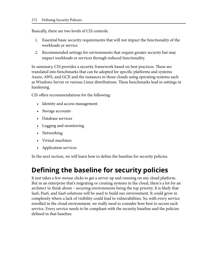Basically, there are two levels of CIS controls:

- 1. Essential basic security requirements that will not impact the functionality of the workloads or service.
- 2. Recommended settings for environments that require greater security but may impact workloads or services through reduced functionality.

In summary, CIS provides a security framework based on best practices. These are translated into benchmarks that can be adopted for specific platforms and systems: Azure, AWS, and GCP, and the instances in those clouds using operating systems such as Windows Server or various Linux distributions. These benchmarks lead to settings in hardening.

CIS offers recommendations for the following:

- Identity and access management
- Storage accounts
- Database services
- Logging and monitoring
- Networking
- Virtual machines
- Application services

In the next section, we will learn how to define the baseline for security policies.

# **Defining the baseline for security policies**

It just takes a few mouse clicks to get a server up and running on any cloud platform. But in an enterprise that's migrating or creating systems in the cloud, there's a lot for an architect to think about – securing environments being the top priority. It is likely that IaaS, PaaS, and SaaS solutions will be used to build our environment. It could grow in complexity where a lack of visibility could lead to vulnerabilities. So, with every service enrolled in the cloud environment, we really need to consider how best to secure each service. Every service needs to be compliant with the security baseline and the policies defined in that baseline.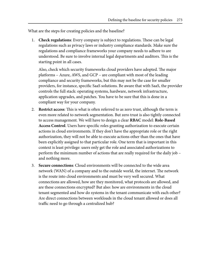What are the steps for creating policies and the baseline?

1. **Check regulations**: Every company is subject to regulations. These can be legal regulations such as privacy laws or industry compliance standards. Make sure the regulations and compliance frameworks your company needs to adhere to are understood. Be sure to involve internal legal departments and auditors. This is the starting point in all cases.

Also, check which security frameworks cloud providers have adopted. The major platforms – Azure, AWS, and GCP – are compliant with most of the leading compliance and security frameworks, but this may not be the case for smaller providers, for instance, specific SaaS solutions. Be aware that with SaaS, the provider controls the full stack: operating systems, hardware, network infrastructure, application upgrades, and patches. You have to be sure that this is done in a compliant way for your company.

- 2. **Restrict access**: This is what is often referred to as zero trust, although the term is even more related to network segmentation. But zero trust is also tightly connected to access management. We will have to design a clear **RBAC** model: **Role-Based Access Control**. Users have specific roles granting authorization to execute certain actions in cloud environments. If they don't have the appropriate role or the right authorization, they will not be able to execute actions other than the ones that have been explicitly assigned to that particular role. One term that is important in this context is least privilege: users only get the role and associated authorizations to perform the minimum number of actions that are really required for the daily job – and nothing more.
- 3. **Secure connections**: Cloud environments will be connected to the wide area network (WAN) of a company and to the outside world, the internet. The network is the route into cloud environments and must be very well secured. What connections are allowed, how are they monitored, what protocols are allowed, and are these connections encrypted? But also: how are environments in the cloud tenant segmented and how do systems in the tenant communicate with each other? Are direct connections between workloads in the cloud tenant allowed or does all traffic need to go through a centralized hub?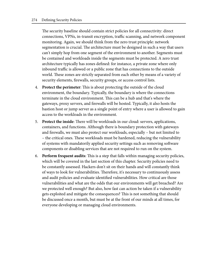The security baseline should contain strict policies for all connectivity: direct connections, VPNs, in-transit encryption, traffic scanning, and network component monitoring. Again, we should think from the zero trust principle: network segmentation is crucial. The architecture must be designed in such a way that users can't simply hop from one segment of the environment to another. Segments must be contained and workloads inside the segments must be protected. A zero trust architecture typically has zones defined: for instance, a private zone where only inbound traffic is allowed or a public zone that has connections to the outside world. These zones are strictly separated from each other by means of a variety of security elements, firewalls, security groups, or access control lists.

- 4. **Protect the perimeter**: This is about protecting the outside of the cloud environment, the boundary. Typically, the boundary is where the connections terminate in the cloud environment. This can be a hub and that's where the gateways, proxy servers, and firewalls will be hosted. Typically, it also hosts the bastion host or jump server as a single point of entry where a user is allowed to gain access to the workloads in the environment.
- 5. **Protect the inside**: There will be workloads in our cloud: servers, applications, containers, and functions. Although there is boundary protection with gateways and firewalls, we must also protect our workloads, especially – but not limited to – the critical ones. These workloads must be hardened, reducing the vulnerability of systems with mandatorily applied security settings such as removing software components or disabling services that are not required to run on the system.
- 6. **Perform frequent audits**: This is a step that falls within managing security policies, which will be covered in the last section of this chapter. Security policies need to be constantly assessed. Hackers don't sit on their hands and will constantly think of ways to look for vulnerabilities. Therefore, it's necessary to continuously assess and audit policies and evaluate identified vulnerabilities. How critical are those vulnerabilities and what are the odds that our environments will get breached? Are we protected well enough? But also, how fast can action be taken if a vulnerability gets exploited and mitigate the consequences? This is not something that should be discussed once a month, but must be at the front of our minds at all times, for everyone developing or managing cloud environments.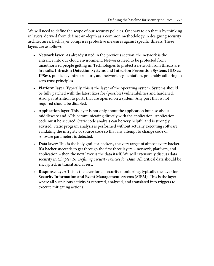We will need to define the scope of our security policies. One way to do that is by thinking in layers, derived from defense-in-depth as a common methodology in designing security architectures. Each layer comprises protective measures against specific threats. These layers are as follows:

- **Network layer**: As already stated in the previous section, the network is the entrance into our cloud environment. Networks need to be protected from unauthorized people getting in. Technologies to protect a network from threats are firewalls, **Intrusion Detection Systems** and **Intrusion Prevention Systems** (**IDSes**/ **IPSes**), public key infrastructure, and network segmentation, preferably adhering to zero trust principles.
- **Platform layer**: Typically, this is the layer of the operating system. Systems should be fully patched with the latest fixes for (possible) vulnerabilities and hardened. Also, pay attention to ports that are opened on a system. Any port that is not required should be disabled.
- **Application layer**: This layer is not only about the application but also about middleware and APIs communicating directly with the application. Application code must be secured. Static code analysis can be very helpful and is strongly advised. Static program analysis is performed without actually executing software, validating the integrity of source code so that any attempt to change code or software parameters is detected.
- **Data layer**: This is the holy grail for hackers, the very target of almost every hacker. If a hacker succeeds to get through the first three layers – network, platform, and application – then the next layer is the data itself. We will extensively discuss data security in *Chapter 16*, *Defining Security Policies for Data*. All critical data should be encrypted, in transit and at rest.
- **Response layer**: This is the layer for all security monitoring, typically the layer for **Security Information and Event Management** systems (**SIEM**). This is the layer where all suspicious activity is captured, analyzed, and translated into triggers to execute mitigating actions.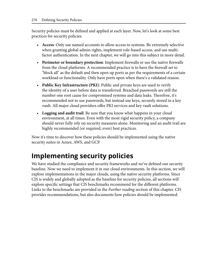Security policies must be defined and applied at each layer. Now, let's look at some best practices for security policies:

- **Access**: Only use named accounts to allow access to systems. Be extremely selective when granting global admin rights, implement role-based access, and use multifactor authentication. In the next chapter, we will go into this subject in more detail.
- **Perimeter or boundary protection**: Implement firewalls or use the native firewalls from the cloud platforms. A recommended practice is to have the firewall set to "block all" as the default and then open up ports as per the requirements of a certain workload or functionality. Only have ports open when there's a validated reason.
- **Public Key Infrastructure (PKI)**: Public and private keys are used to verify the identity of a user before data is transferred. Breached passwords are still the number one root cause for compromised systems and data leaks. Therefore, it's recommended not to use passwords, but instead use keys, securely stored in a key vault. All major cloud providers offer PKI services and key vault solutions.
- **Logging and audit trail**: Be sure that you know what happens in your cloud environment, at all times. Even with the most rigid security policy, a company should never fully rely on security measures alone. Monitoring and an audit trail are highly recommended (or required, even) best practices.

Now it's time to discover how these policies should be implemented using the native security suites in Azure, AWS, and GCP.

# **Implementing security policies**

We have studied the compliance and security frameworks and we've defined our security baseline. Now we need to implement it in our cloud environments. In this section, we will explore implementations in the major clouds, using the native security platforms. Since CIS is widely and globally adopted as the baseline for security policies, all sections will explore specific settings that CIS benchmarks recommend for the different platforms. Links to the benchmarks are provided in the *Further reading* section of this chapter. CIS provides recommendations, but also documents how policies should be implemented.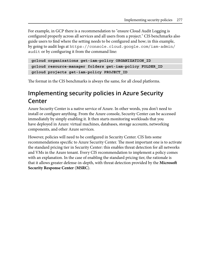For example, in GCP there is a recommendation to "ensure Cloud Audit Logging is configured properly across all services and all users from a project." CIS benchmarks also guide users to find where the setting needs to be configured and how; in this example, by going to audit logs at [https://console.cloud.google.com/iam-admin/](https://console.cloud.google.com/iam-admin/audit) [audit](https://console.cloud.google.com/iam-admin/audit) or by configuring it from the command line:

```
gcloud organizations get-iam-policy ORGANIZATION_ID
gcloud resource-manager folders get-iam-policy FOLDER_ID
gcloud projects get-iam-policy PROJECT_ID
```
The format in the CIS benchmarks is always the same, for all cloud platforms.

## **Implementing security policies in Azure Security Center**

Azure Security Center is a native service of Azure. In other words, you don't need to install or configure anything. From the Azure console, Security Center can be accessed immediately by simply enabling it. It then starts monitoring workloads that you have deployed in Azure: virtual machines, databases, storage accounts, networking components, and other Azure services.

However, policies will need to be configured in Security Center. CIS lists some recommendations specific to Azure Security Center. The most important one is to activate the standard pricing tier in Security Center: this enables threat detection for all networks and VMs in the Azure tenant. Every CIS recommendation to implement a policy comes with an explanation. In the case of enabling the standard pricing tier, the rationale is that it allows greater defense-in-depth, with threat detection provided by the **Microsoft Security Response Center** (**MSRC**).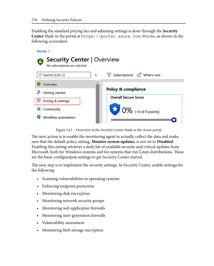Enabling the standard pricing tier and adjusting settings is done through the **Security Center** blade in the portal at <https://portal.azure.com/#home>, as shown in the following screenshot:

![](_page_12_Picture_2.jpeg)

Figure 14.1 – Overview of the Security Center blade in the Azure portal

The next action is to enable the monitoring agent to actually collect the data and make sure that the default policy setting, **Monitor system updates**, is not set to **Disabled**. Enabling this setting retrieves a daily list of available security and critical updates from Microsoft, both for Windows systems and for systems that run Linux distributions. These are the basic configuration settings to get Security Center started.

The next step is to implement the security settings. In Security Center, enable settings for the following:

- Scanning vulnerabilities in operating systems
- Enforcing endpoint protection
- Monitoring disk encryption
- Monitoring network security groups
- Monitoring web application firewalls
- Monitoring next-generation firewalls
- Vulnerability assessment
- Monitoring blob storage encryption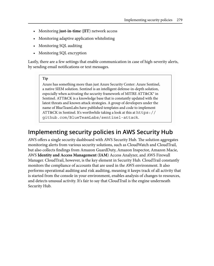- Monitoring **just-in-time** (**JIT**) network access
- Monitoring adaptive application whitelisting
- Monitoring SQL auditing
- Monitoring SQL encryption

Lastly, there are a few settings that enable communication in case of high-severity alerts, by sending email notifications or text messages.

#### **Tip**

Azure has something more than just Azure Security Center: Azure Sentinel, a native SIEM solution. Sentinel is an intelligent defense-in-depth solution, especially when activating the security framework of MITRE ATT&CK® in Sentinel. ATT&CK is a knowledge base that is constantly updated with the latest threats and known attack strategies. A group of developers under the name of BlueTeamLabs have published templates and code to implement ATT&CK in Sentinel. It's worthwhile taking a look at this at [https://](https://github.com/BlueTeamLabs/sentinel-attack) [github.com/BlueTeamLabs/sentinel-attack](https://github.com/BlueTeamLabs/sentinel-attack).

### **Implementing security policies in AWS Security Hub**

AWS offers a single security dashboard with AWS Security Hub. The solution aggregates monitoring alerts from various security solutions, such as CloudWatch and CloudTrail, but also collects findings from Amazon GuardDuty, Amazon Inspector, Amazon Macie, AWS **Identity and Access Management** (**IAM**) Access Analyzer, and AWS Firewall Manager. CloudTrail, however, is the key element in Security Hub. CloudTrail constantly monitors the compliance of accounts that are used in the AWS environment. It also performs operational auditing and risk auditing, meaning it keeps track of all activity that is started from the console in your environment, enables analysis of changes to resources, and detects unusual activity. It's fair to say that CloudTrail is the engine underneath Security Hub.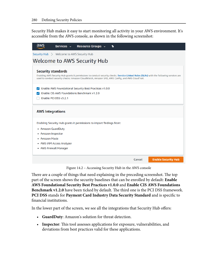Security Hub makes it easy to start monitoring all activity in your AWS environment. It's accessible from the AWS console, as shown in the following screenshot:

| aws                                                                                                                                                                                                                                                                     | Services v                | Resource Groups v |        |                            |
|-------------------------------------------------------------------------------------------------------------------------------------------------------------------------------------------------------------------------------------------------------------------------|---------------------------|-------------------|--------|----------------------------|
| Security Hub > Welcome to AWS Security Hub                                                                                                                                                                                                                              |                           |                   |        |                            |
| Welcome to AWS Security Hub                                                                                                                                                                                                                                             |                           |                   |        |                            |
| <b>Security standards</b><br>Enabling AWS Security Hub grants it permissions to conduct security checks. Service Linked Roles (SLRs) with the following services are<br>used to conduct security checks: Amazon CloudWatch, Amazon SNS, AWS Config, and AWS CloudTrail. |                           |                   |        |                            |
| Enable AWS Foundational Security Best Practices v1.0.0<br>✓<br>Enable CIS AWS Foundations Benchmark v1.2.0<br>Enable PCI DSS v3.2.1                                                                                                                                     |                           |                   |        |                            |
| <b>AWS Integrations</b>                                                                                                                                                                                                                                                 |                           |                   |        |                            |
| Enabling Security Hub grants it permissions to import findings from:                                                                                                                                                                                                    |                           |                   |        |                            |
| • Amazon GuardDuty                                                                                                                                                                                                                                                      |                           |                   |        |                            |
| • Amazon Inspector                                                                                                                                                                                                                                                      |                           |                   |        |                            |
| • Amazon Macie                                                                                                                                                                                                                                                          |                           |                   |        |                            |
|                                                                                                                                                                                                                                                                         | • AWS IAM Access Analyzer |                   |        |                            |
|                                                                                                                                                                                                                                                                         | • AWS Firewall Manager    |                   |        |                            |
|                                                                                                                                                                                                                                                                         |                           |                   | Cancel | <b>Enable Security Hub</b> |

Figure 14.2 – Accessing Security Hub in the AWS console

There are a couple of things that need explaining in the preceding screenshot. The top part of the screen shows the security baselines that can be enrolled by default: **Enable AWS Foundational Security Best Practices v1.0.0** and **Enable CIS AWS Foundations Benchmark v1.2.0** have been ticked by default. The third one is the PCI DSS framework. **PCI DSS** stands for **Payment Card Industry Data Security Standard** and is specific to financial institutions.

In the lower part of the screen, we see all the integrations that Security Hub offers:

- **GuardDuty**: Amazon's solution for threat detection.
- **Inspector**: This tool assesses applications for exposure, vulnerabilities, and deviations from best practices valid for these applications.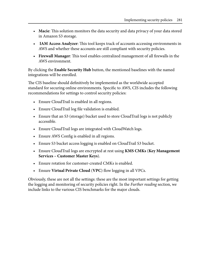- **Macie**: This solution monitors the data security and data privacy of your data stored in Amazon S3 storage.
- **IAM Access Analyzer**: This tool keeps track of accounts accessing environments in AWS and whether these accounts are still compliant with security policies.
- **Firewall Manager**: This tool enables centralized management of all firewalls in the AWS environment.

By clicking the **Enable Security Hub** button, the mentioned baselines with the named integrations will be enrolled.

The CIS baseline should definitively be implemented as the worldwide accepted standard for securing online environments. Specific to AWS, CIS includes the following recommendations for settings to control security policies:

- Ensure CloudTrail is enabled in all regions.
- Ensure CloudTrail log file validation is enabled.
- Ensure that an S3 (storage) bucket used to store CloudTrail logs is not publicly accessible.
- Ensure CloudTrail logs are integrated with CloudWatch logs.
- Ensure AWS Config is enabled in all regions.
- Ensure S3 bucket access logging is enabled on CloudTrail S3 bucket.
- Ensure CloudTrail logs are encrypted at rest using **KMS CMKs** (**Key Management Services – Customer Master Keys**).
- Ensure rotation for customer-created CMKs is enabled.
- Ensure **Virtual Private Cloud** (**VPC**) flow logging in all VPCs.

Obviously, these are not all the settings: these are the most important settings for getting the logging and monitoring of security policies right. In the *Further reading* section, we include links to the various CIS benchmarks for the major clouds.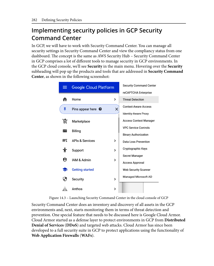## **Implementing security policies in GCP Security Command Center**

In GCP, we will have to work with Security Command Center. You can manage all security settings in Security Command Center and view the compliancy status from one dashboard. The concept is the same as AWS Security Hub – Security Command Center in GCP comprises a lot of different tools to manage security in GCP environments. In the GCP cloud console, we'll see **Security** in the main menu. Hovering over the **Security** subheading will pop up the products and tools that are addressed in **Security Command Center**, as shown in the following screenshot:

![](_page_16_Figure_3.jpeg)

![](_page_16_Figure_4.jpeg)

Security Command Center does an inventory and discovery of all assets in the GCP environments and, next, starts monitoring them in terms of threat detection and prevention. One special feature that needs to be discussed here is Google Cloud Armor. Cloud Armor started as a defense layer to protect environments in GCP from **Distributed Denial of Services** (**DDoS**) and targeted web attacks. Cloud Armor has since been developed to a full security suite in GCP to protect applications using the functionality of **Web Application Firewalls** (**WAFs**).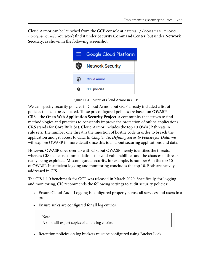Cloud Armor can be launched from the GCP console at [https://console.cloud.](https://console.cloud.google.com/) [google.com/](https://console.cloud.google.com/). You won't find it under **Security Command Center**, but under **Network Security**, as shown in the following screenshot:

![](_page_17_Picture_2.jpeg)

Figure 14.4 – Menu of Cloud Armor in GCP

We can specify security policies in Cloud Armor, but GCP already included a list of policies that can be evaluated. These preconfigured policies are based on **OWASP** CRS—the **Open Web Application Security Project**, a community that strives to find methodologies and practices to constantly improve the protection of online applications. **CRS** stands for **Core Rule Set**. Cloud Armor includes the top 10 OWASP threats in rule sets. The number one threat is the injection of hostile code in order to breach the application and get access to data. In *Chapter 16*, *Defining Security Policies for Data*, we will explore OWASP in more detail since this is all about securing applications and data.

However, OWASP does overlap with CIS, but OWASP merely identifies the threats, whereas CIS makes recommendations to avoid vulnerabilities and the chances of threats really being exploited. Misconfigured security, for example, is number 6 in the top 10 of OWASP. Insufficient logging and monitoring concludes the top 10. Both are heavily addressed in CIS.

The CIS 1.1.0 benchmark for GCP was released in March 2020. Specifically, for logging and monitoring, CIS recommends the following settings to audit security policies:

- Ensure Cloud Audit Logging is configured properly across all services and users in a project.
- Ensure sinks are configured for all log entries.

#### **Note**

A sink will export copies of all the log entries.

• Retention policies on log buckets must be configured using Bucket Lock.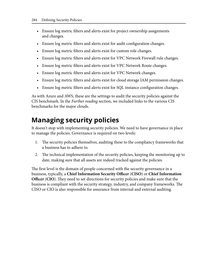- Ensure log metric filters and alerts exist for project ownership assignments and changes.
- Ensure log metric filters and alerts exist for audit configuration changes.
- Ensure log metric filters and alerts exist for custom role changes.
- Ensure log metric filters and alerts exist for VPC Network Firewall rule changes.
- Ensure log metric filters and alerts exist for VPC Network Route changes.
- Ensure log metric filters and alerts exist for VPC Network changes.
- Ensure log metric filters and alerts exist for cloud storage IAM permission changes.
- Ensure log metric filters and alerts exist for SQL instance configuration changes.

As with Azure and AWS, these are the settings to audit the security policies against the CIS benchmark. In the *Further reading* section, we included links to the various CIS benchmarks for the major clouds.

# **Managing security policies**

It doesn't stop with implementing security policies. We need to have governance in place to manage the policies. Governance is required on two levels:

- 1. The security policies themselves, auditing these to the compliancy frameworks that a business has to adhere to.
- 2. The technical implementation of the security policies, keeping the monitoring up to date, making sure that all assets are indeed tracked against the policies.

The first level is the domain of people concerned with the security governance in a business, typically, a **Chief Information Security Officer** (**CISO**) or **Chief Information Officer** (**CIO**). They need to set directions for security policies and make sure that the business is compliant with the security strategy, industry, and company frameworks. The CISO or CIO is also responsible for assurance from internal and external auditing.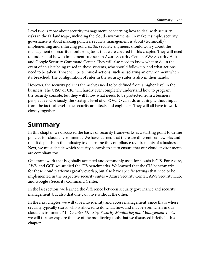Level two is more about security management, concerning how to deal with security risks in the IT landscape, including the cloud environments. To make it simple: security governance is about making policies; security management is about (technically) implementing and enforcing policies. So, security engineers should worry about the management of security monitoring tools that were covered in this chapter. They will need to understand how to implement rule sets in Azure Security Center, AWS Security Hub, and Google Security Command Center. They will also need to know what to do in the event of an alert being raised in these systems, who should follow up, and what actions need to be taken. Those will be technical actions, such as isolating an environment when it's breached. The configuration of rules in the security suites is also in their hands.

However, the security policies themselves need to be defined from a higher level in the business. The CISO or CIO will hardly ever completely understand how to program the security console, but they will know what needs to be protected from a business perspective. Obviously, the strategic level of CISO/CIO can't do anything without input from the tactical level – the security architects and engineers. They will all have to work closely together.

## **Summary**

In this chapter, we discussed the basics of security frameworks as a starting point to define policies for cloud environments. We have learned that there are different frameworks and that it depends on the industry to determine the compliance requirements of a business. Next, we must decide which security controls to set to ensure that our cloud environments are compliant too.

One framework that is globally accepted and commonly used for clouds is CIS. For Azure, AWS, and GCP, we studied the CIS benchmarks. We learned that the CIS benchmarks for these cloud platforms greatly overlap, but also have specific settings that need to be implemented in the respective security suites – Azure Security Center, AWS Security Hub, and Google's Security Command Center.

In the last section, we learned the difference between security governance and security management, but also that one can't live without the other.

In the next chapter, we will dive into identity and access management, since that's where security typically starts: who is allowed to do what, how, and maybe even when in our cloud environments? In *Chapter 17*, *Using Security Monitoring and Management Tools*, we will further explore the use of the monitoring tools that we discussed briefly in this chapter.